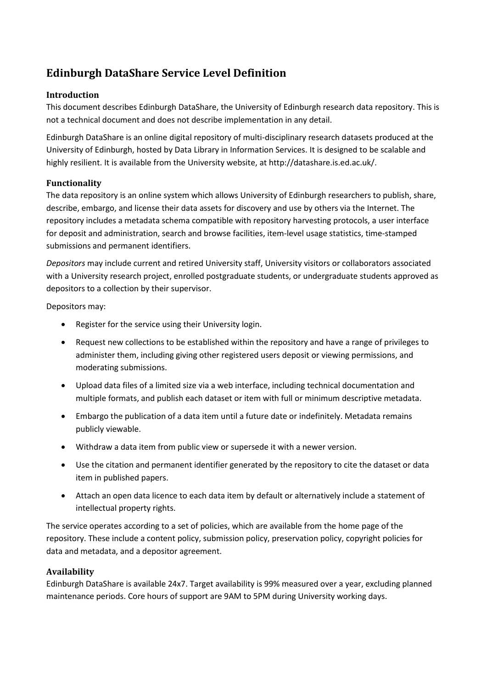# **Edinburgh DataShare Service Level Definition**

# **Introduction**

This document describes Edinburgh DataShare, the University of Edinburgh research data repository. This is not a technical document and does not describe implementation in any detail.

Edinburgh DataShare is an online digital repository of multi-disciplinary research datasets produced at the University of Edinburgh, hosted by Data Library in Information Services. It is designed to be scalable and highly resilient. It is available from the University website, at http://datashare.is.ed.ac.uk/.

## **Functionality**

The data repository is an online system which allows University of Edinburgh researchers to publish, share, describe, embargo, and license their data assets for discovery and use by others via the Internet. The repository includes a metadata schema compatible with repository harvesting protocols, a user interface for deposit and administration, search and browse facilities, item-level usage statistics, time-stamped submissions and permanent identifiers.

*Depositors* may include current and retired University staff, University visitors or collaborators associated with a University research project, enrolled postgraduate students, or undergraduate students approved as depositors to a collection by their supervisor.

Depositors may:

- Register for the service using their University login.
- Request new collections to be established within the repository and have a range of privileges to administer them, including giving other registered users deposit or viewing permissions, and moderating submissions.
- Upload data files of a limited size via a web interface, including technical documentation and multiple formats, and publish each dataset or item with full or minimum descriptive metadata.
- Embargo the publication of a data item until a future date or indefinitely. Metadata remains publicly viewable.
- Withdraw a data item from public view or supersede it with a newer version.
- Use the citation and permanent identifier generated by the repository to cite the dataset or data item in published papers.
- Attach an open data licence to each data item by default or alternatively include a statement of intellectual property rights.

The service operates according to a set of policies, which are available from the home page of the repository. These include a content policy, submission policy, preservation policy, copyright policies for data and metadata, and a depositor agreement.

#### **Availability**

Edinburgh DataShare is available 24x7. Target availability is 99% measured over a year, excluding planned maintenance periods. Core hours of support are 9AM to 5PM during University working days.